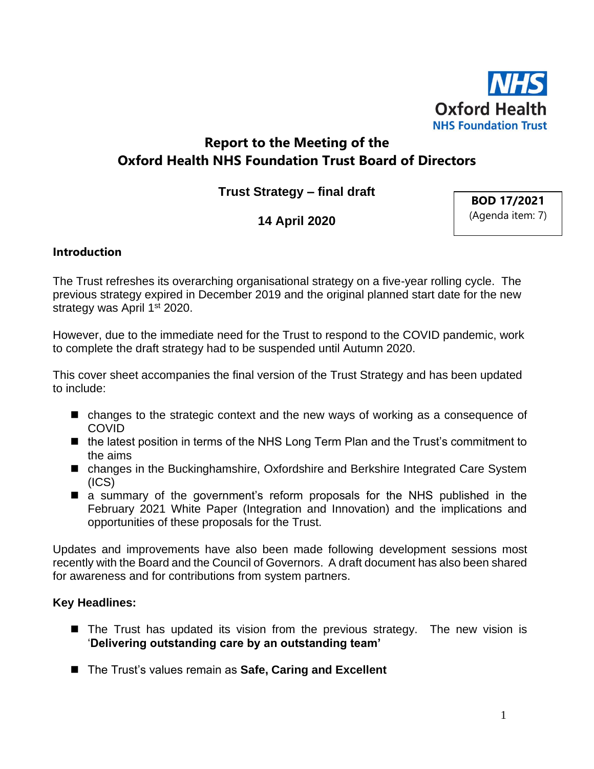

# **Report to the Meeting of the Oxford Health NHS Foundation Trust Board of Directors**

**Trust Strategy – final draft**

# **14 April 2020**

**BOD 17/2021** (Agenda item: 7)

## **Introduction**

The Trust refreshes its overarching organisational strategy on a five-year rolling cycle. The previous strategy expired in December 2019 and the original planned start date for the new strategy was April 1<sup>st</sup> 2020.

However, due to the immediate need for the Trust to respond to the COVID pandemic, work to complete the draft strategy had to be suspended until Autumn 2020.

This cover sheet accompanies the final version of the Trust Strategy and has been updated to include:

- changes to the strategic context and the new ways of working as a consequence of **COVID**
- the latest position in terms of the NHS Long Term Plan and the Trust's commitment to the aims
- changes in the Buckinghamshire, Oxfordshire and Berkshire Integrated Care System (ICS)
- a summary of the government's reform proposals for the NHS published in the February 2021 White Paper (Integration and Innovation) and the implications and opportunities of these proposals for the Trust.

Updates and improvements have also been made following development sessions most recently with the Board and the Council of Governors. A draft document has also been shared for awareness and for contributions from system partners.

### **Key Headlines:**

- The Trust has updated its vision from the previous strategy. The new vision is '**Delivering outstanding care by an outstanding team'**
- The Trust's values remain as Safe, Caring and Excellent